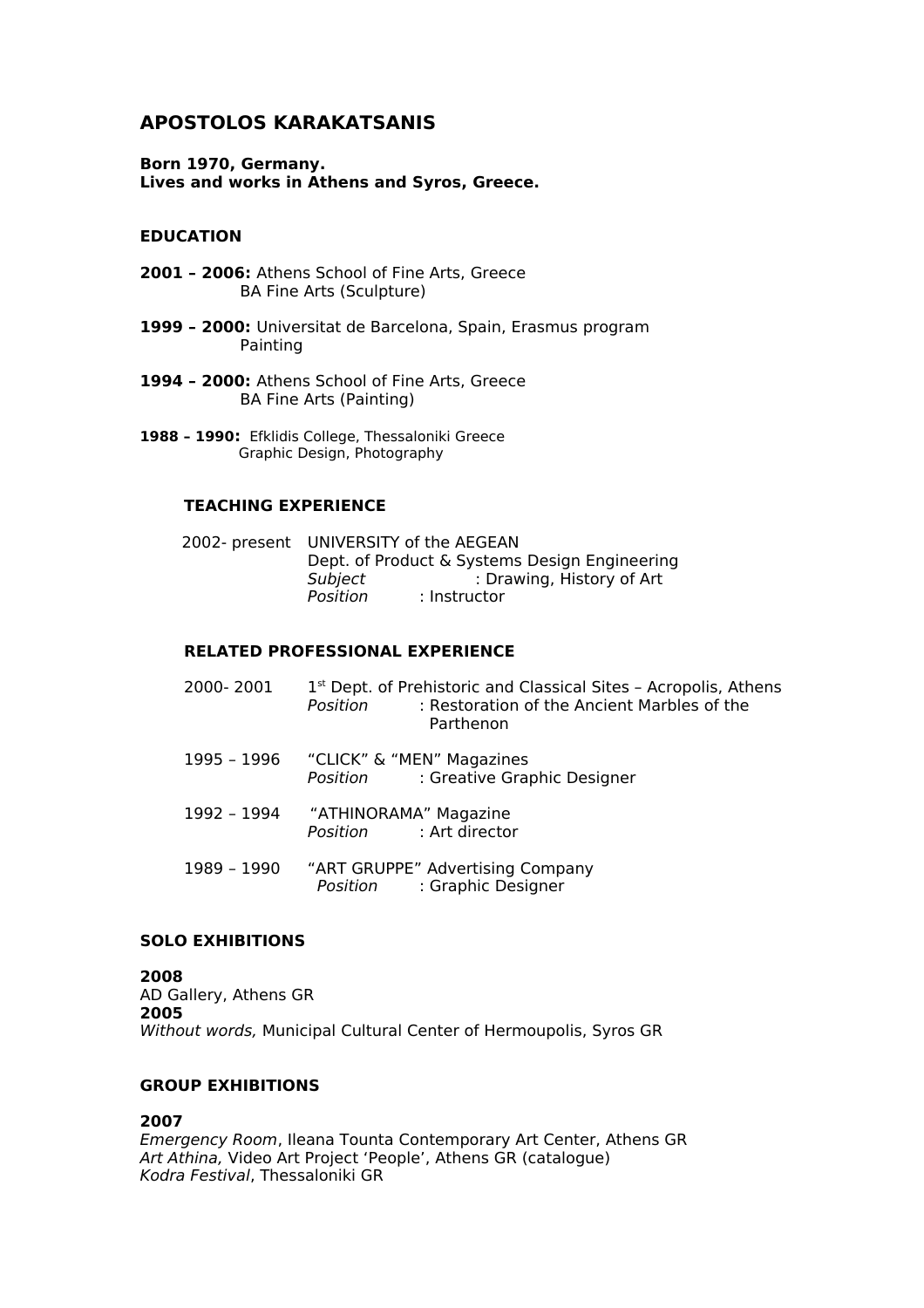# **APOSTOLOS KARAKATSANIS**

**Born 1970, Germany. Lives and works in Athens and Syros, Greece.**

### **EDUCATION**

- **2001 2006:** Athens School of Fine Arts, Greece BA Fine Arts (Sculpture)
- **1999 2000:** Universitat de Barcelona, Spain, Erasmus program Painting
- **1994 2000:** Athens School of Fine Arts, Greece BA Fine Arts (Painting)
- **1988 1990:** Efklidis College, Thessaloniki Greece Graphic Design, Photography

### **TEACHING EXPERIENCE**

|                                               | 2002- present UNIVERSITY of the AEGEAN |
|-----------------------------------------------|----------------------------------------|
| Dept. of Product & Systems Design Engineering |                                        |
| Subject                                       | : Drawing, History of Art              |
| Position                                      | : Instructor                           |
|                                               |                                        |

### **RELATED PROFESSIONAL EXPERIENCE**

| 2000-2001   | 1 <sup>st</sup> Dept. of Prehistoric and Classical Sites - Acropolis, Athens<br>: Restoration of the Ancient Marbles of the<br>Position<br>Parthenon |
|-------------|------------------------------------------------------------------------------------------------------------------------------------------------------|
| 1995 - 1996 | "CLICK" & "MEN" Magazines<br>Position : Greative Graphic Designer                                                                                    |
| 1992 - 1994 | "ATHINORAMA" Magazine<br>Position : Art director                                                                                                     |
| 1989 - 1990 | "ART GRUPPE" Advertising Company<br>Position : Graphic Designer                                                                                      |

#### **SOLO EXHIBITIONS**

**2008** AD Gallery, Athens GR **2005** Without words, Municipal Cultural Center of Hermoupolis, Syros GR

#### **GROUP EXHIBITIONS**

### **2007**

Emergency Room, Ileana Tounta Contemporary Art Center, Athens GR Art Athina, Video Art Project 'People', Athens GR (catalogue) Kodra Festival, Thessaloniki GR